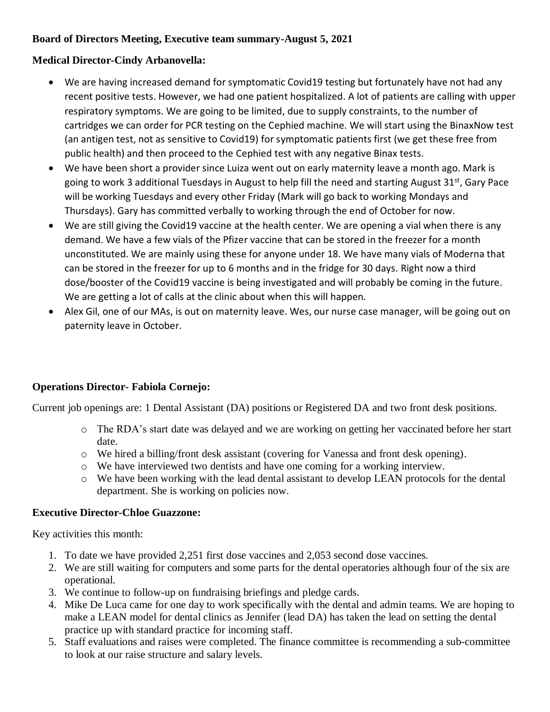## **Board of Directors Meeting, Executive team summary-August 5, 2021**

# **Medical Director-Cindy Arbanovella:**

- We are having increased demand for symptomatic Covid19 testing but fortunately have not had any recent positive tests. However, we had one patient hospitalized. A lot of patients are calling with upper respiratory symptoms. We are going to be limited, due to supply constraints, to the number of cartridges we can order for PCR testing on the Cephied machine. We will start using the BinaxNow test (an antigen test, not as sensitive to Covid19) for symptomatic patients first (we get these free from public health) and then proceed to the Cephied test with any negative Binax tests.
- We have been short a provider since Luiza went out on early maternity leave a month ago. Mark is going to work 3 additional Tuesdays in August to help fill the need and starting August 31<sup>st</sup>, Gary Pace will be working Tuesdays and every other Friday (Mark will go back to working Mondays and Thursdays). Gary has committed verbally to working through the end of October for now.
- We are still giving the Covid19 vaccine at the health center. We are opening a vial when there is any demand. We have a few vials of the Pfizer vaccine that can be stored in the freezer for a month unconstituted. We are mainly using these for anyone under 18. We have many vials of Moderna that can be stored in the freezer for up to 6 months and in the fridge for 30 days. Right now a third dose/booster of the Covid19 vaccine is being investigated and will probably be coming in the future. We are getting a lot of calls at the clinic about when this will happen.
- Alex Gil, one of our MAs, is out on maternity leave. Wes, our nurse case manager, will be going out on paternity leave in October.

## **Operations Director- Fabiola Cornejo:**

Current job openings are: 1 Dental Assistant (DA) positions or Registered DA and two front desk positions.

- o The RDA's start date was delayed and we are working on getting her vaccinated before her start date.
- o We hired a billing/front desk assistant (covering for Vanessa and front desk opening).
- o We have interviewed two dentists and have one coming for a working interview.
- o We have been working with the lead dental assistant to develop LEAN protocols for the dental department. She is working on policies now.

## **Executive Director-Chloe Guazzone:**

Key activities this month:

- 1. To date we have provided 2,251 first dose vaccines and 2,053 second dose vaccines.
- 2. We are still waiting for computers and some parts for the dental operatories although four of the six are operational.
- 3. We continue to follow-up on fundraising briefings and pledge cards.
- 4. Mike De Luca came for one day to work specifically with the dental and admin teams. We are hoping to make a LEAN model for dental clinics as Jennifer (lead DA) has taken the lead on setting the dental practice up with standard practice for incoming staff.
- 5. Staff evaluations and raises were completed. The finance committee is recommending a sub-committee to look at our raise structure and salary levels.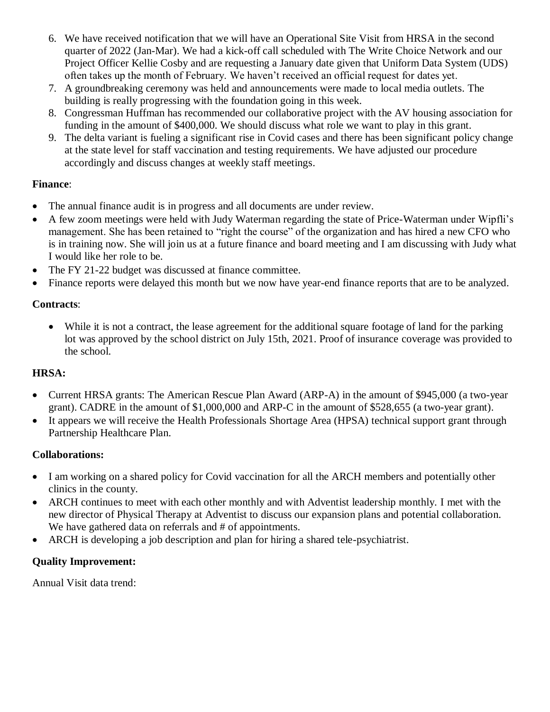- 6. We have received notification that we will have an Operational Site Visit from HRSA in the second quarter of 2022 (Jan-Mar). We had a kick-off call scheduled with The Write Choice Network and our Project Officer Kellie Cosby and are requesting a January date given that Uniform Data System (UDS) often takes up the month of February. We haven't received an official request for dates yet.
- 7. A groundbreaking ceremony was held and announcements were made to local media outlets. The building is really progressing with the foundation going in this week.
- 8. Congressman Huffman has recommended our collaborative project with the AV housing association for funding in the amount of \$400,000. We should discuss what role we want to play in this grant.
- 9. The delta variant is fueling a significant rise in Covid cases and there has been significant policy change at the state level for staff vaccination and testing requirements. We have adjusted our procedure accordingly and discuss changes at weekly staff meetings.

### **Finance**:

- The annual finance audit is in progress and all documents are under review.
- A few zoom meetings were held with Judy Waterman regarding the state of Price-Waterman under Wipfli's management. She has been retained to "right the course" of the organization and has hired a new CFO who is in training now. She will join us at a future finance and board meeting and I am discussing with Judy what I would like her role to be.
- The FY 21-22 budget was discussed at finance committee.
- Finance reports were delayed this month but we now have year-end finance reports that are to be analyzed.

### **Contracts**:

• While it is not a contract, the lease agreement for the additional square footage of land for the parking lot was approved by the school district on July 15th, 2021. Proof of insurance coverage was provided to the school.

## **HRSA:**

- Current HRSA grants: The American Rescue Plan Award (ARP-A) in the amount of \$945,000 (a two-year grant). CADRE in the amount of \$1,000,000 and ARP-C in the amount of \$528,655 (a two-year grant).
- It appears we will receive the Health Professionals Shortage Area (HPSA) technical support grant through Partnership Healthcare Plan.

## **Collaborations:**

- I am working on a shared policy for Covid vaccination for all the ARCH members and potentially other clinics in the county.
- ARCH continues to meet with each other monthly and with Adventist leadership monthly. I met with the new director of Physical Therapy at Adventist to discuss our expansion plans and potential collaboration. We have gathered data on referrals and # of appointments.
- ARCH is developing a job description and plan for hiring a shared tele-psychiatrist.

## **Quality Improvement:**

Annual Visit data trend: